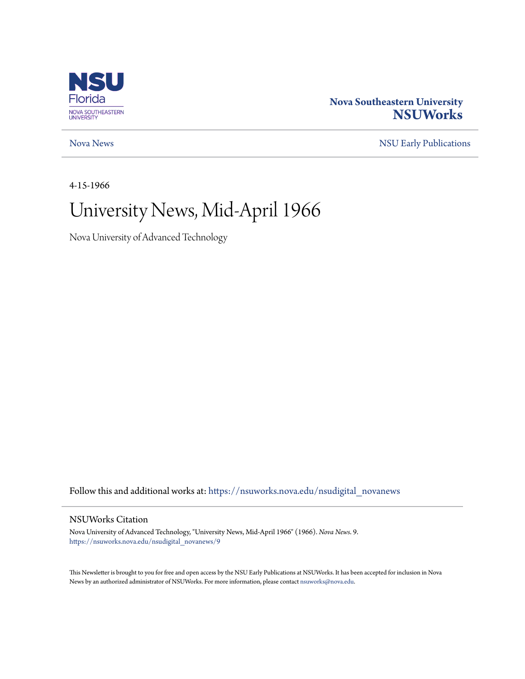

### **Nova Southeastern University [NSUWorks](https://nsuworks.nova.edu?utm_source=nsuworks.nova.edu%2Fnsudigital_novanews%2F9&utm_medium=PDF&utm_campaign=PDFCoverPages)**

[Nova News](https://nsuworks.nova.edu/nsudigital_novanews?utm_source=nsuworks.nova.edu%2Fnsudigital_novanews%2F9&utm_medium=PDF&utm_campaign=PDFCoverPages) [NSU Early Publications](https://nsuworks.nova.edu/nsudigital_earlypubs?utm_source=nsuworks.nova.edu%2Fnsudigital_novanews%2F9&utm_medium=PDF&utm_campaign=PDFCoverPages)

4-15-1966

## University News, Mid-April 1966

Nova University of Advanced Technology

Follow this and additional works at: [https://nsuworks.nova.edu/nsudigital\\_novanews](https://nsuworks.nova.edu/nsudigital_novanews?utm_source=nsuworks.nova.edu%2Fnsudigital_novanews%2F9&utm_medium=PDF&utm_campaign=PDFCoverPages)

#### NSUWorks Citation

Nova University of Advanced Technology, "University News, Mid-April 1966" (1966). *Nova News*. 9. [https://nsuworks.nova.edu/nsudigital\\_novanews/9](https://nsuworks.nova.edu/nsudigital_novanews/9?utm_source=nsuworks.nova.edu%2Fnsudigital_novanews%2F9&utm_medium=PDF&utm_campaign=PDFCoverPages)

This Newsletter is brought to you for free and open access by the NSU Early Publications at NSUWorks. It has been accepted for inclusion in Nova News by an authorized administrator of NSUWorks. For more information, please contact [nsuworks@nova.edu.](mailto:nsuworks@nova.edu)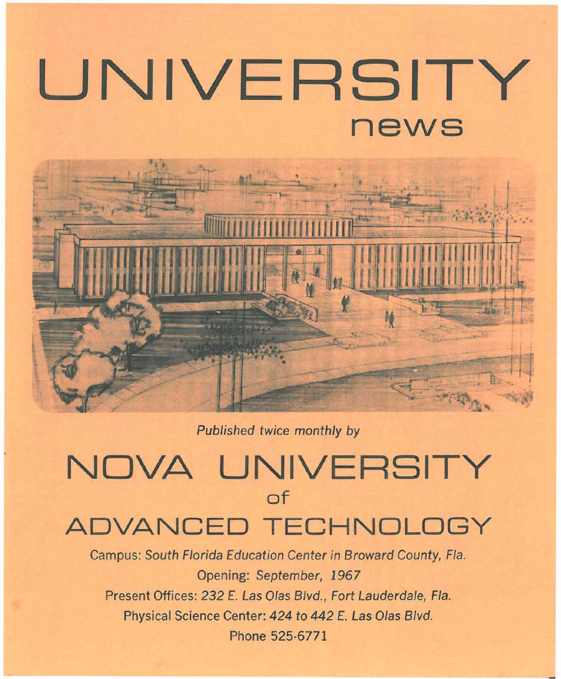# **UNIVERSITY news**



Published twice monthly by

## **NOVA UNIVERSITY of ADVANCED TECHNOLOGY**

Campus: South Florida Education Center in Broward County, Fla. Opening: September, 1967 Present Offices: 232 E. Las Olas Blvd., Fort Lauderdale, Fla. Physical Science Center: 424 to 442 E. Las Olas Blvd. Phone 525-6771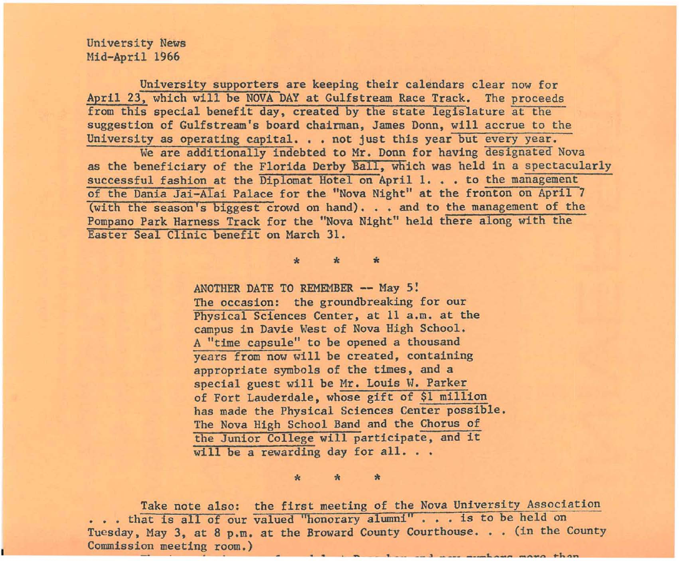University News Mid-April 1966

University supporters are keeping their calendars clear now for April 23, which will be NOVA DAY at Gulfstream Race Track. The proceeds from this special benefit day, created by the state legislature at the suggestion of Gulfstream's board chairman, James Donn, will accrue to the University as operating capital. . . not just this year but every year.

We are additionally indebted to Mr. Donn for having designated Nova as the beneficiary of the Florida Derby Ball, which was held in a spectacularly successful fashion at the Diplomat Hotel on April 1. . . to the management of the Dania Jai-A1ai Palace for the "Nova Night" at the fronton on April 7 (with the season's biggest crowd on hand). . . and to the management of the Pompano Park Harness Track for the "Nova Night" held there along with the Easter Seal Clinic benefit on March 31.

\* \* \*

ANOTHER DATE TO REMEMBER -- May 5: The occasion: the groundbreaking for our Physical Sciences Center, at 11 a.m. at the campus in Davie West of Nova High School. A "time capsule" to be opened a thousand years from now will be created, containing appropriate symbols of the times, and a special guest will be Mr. Louis W. Parker of Fort Lauderdale, whose gift of \$1 million has made the Physical Sciences Center possible. The Nova High School Band and the Chorus of the Junior College will participate, and it will be a rewarding day for all...

\* \* \*

Take note also: the first meeting of the Nova University Association ... that is all of our valued "honorary alumni" ... is to be held on Tuesday, May 3, at 8 p.m. at the Broward County Courthouse. . . (in the County Commission meeting room.)  $\blacksquare$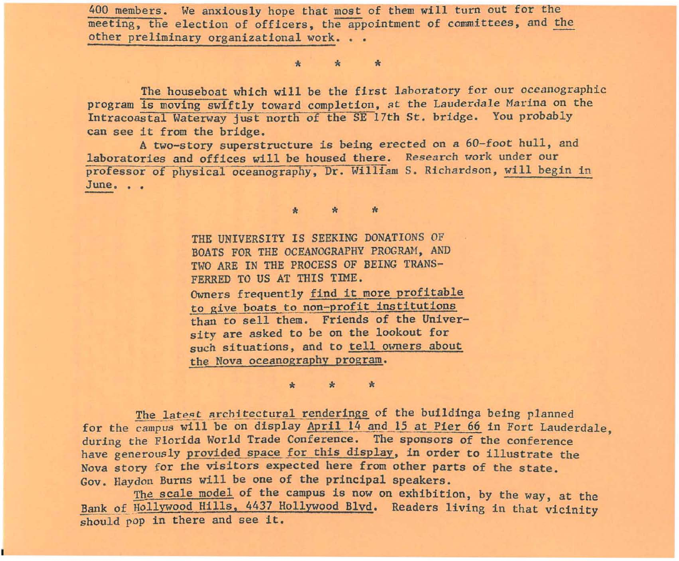400 members. We anxiously hope that most of them will turn-out for fhe meeting, the election of officers, the appointment of committees, and the other preliminary organizational work.

\* \* \*

The houseboat which will be the first laboratory for our oceanographic program is moving swiftly toward completion, at the Lauderdale Marina on the Intracoastal Waterway just north of the SE 17th St. bridge. You probably can see it from the bridge.

A two-story superstructure is being erected on a 60-foot hull, and laboratories and offices will be housed there. Research work under our professor of physical oceanography, Dr. William S. Richardson, will begin in June...

> \* \* to THE UNIVERSITY IS SEEKING DONATIONS OF BOATS FOR THE OCEANOGRAPHY PROGRAM, AND TWO ARE IN THE PROCESS OF BEING TRANS-FERRED TO US AT THIS TIME. Owners frequently find it more profitable to give boats to non-profit institutions than to sell them. Friends of the University are asked to be on the lookout for such situations, and to tell owners about the Nova oceanography program.

\* \* it The latest architectural renderings of the buildinga being planned for the campus will be on display April 14 and 15 at Pier 66 in Fort Lauderdale, during the Florida World Trade Conference. The sponsors of the conference have generously provided space for this display, in order to illustrate the Nova story for the visitors expected here from other parts of the state. Gov. Haydon Burns will be one of the principal speakers.

The scale model of the campus is now on exhibition, by the way, at the Bank of Hollywood Hills, 4437 Hollywood Blvd. Readers living in that vicinity should pop in there and see it.